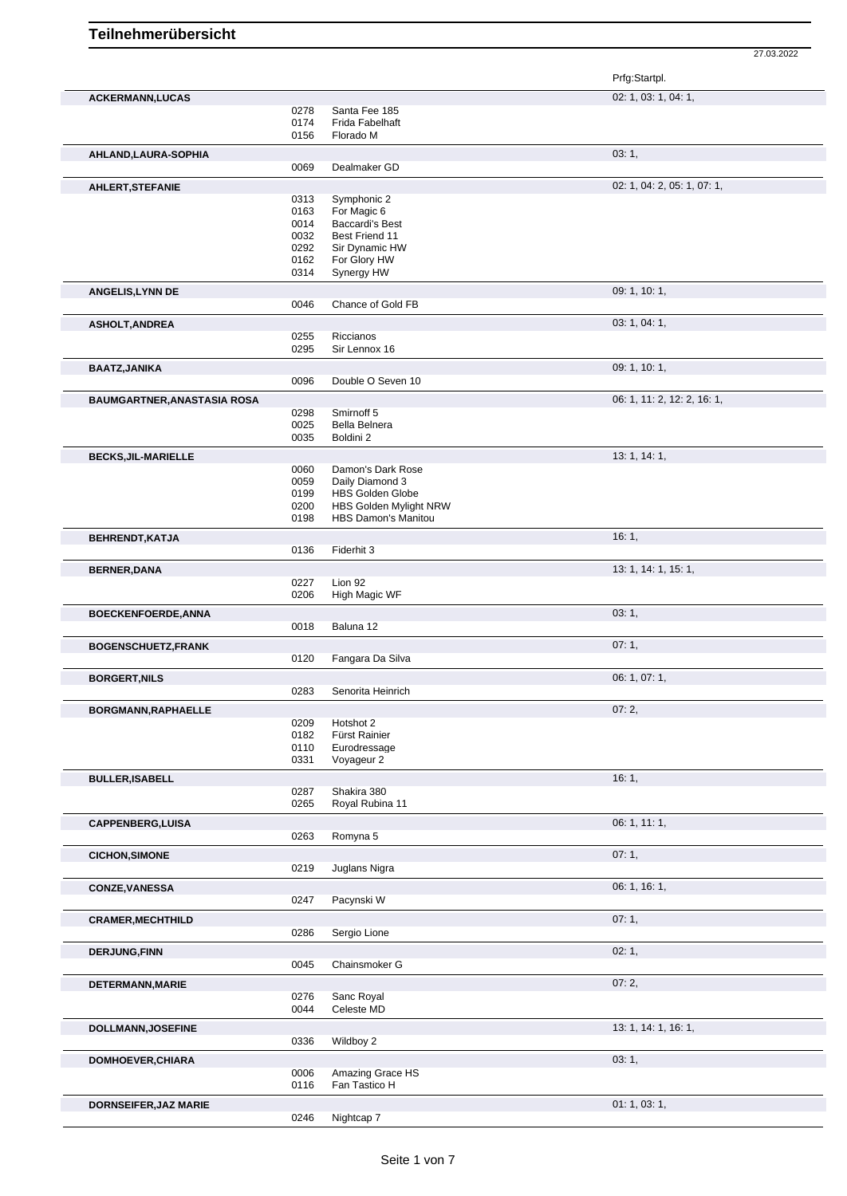27.03.2022

|                                    |              |                                | Prfg:Startpl.               |
|------------------------------------|--------------|--------------------------------|-----------------------------|
| <b>ACKERMANN,LUCAS</b>             |              |                                | 02: 1, 03: 1, 04: 1,        |
|                                    | 0278         | Santa Fee 185                  |                             |
|                                    | 0174         | Frida Fabelhaft                |                             |
|                                    | 0156         | Florado M                      |                             |
| AHLAND, LAURA-SOPHIA               |              |                                | 03:1,                       |
|                                    | 0069         | Dealmaker GD                   |                             |
| <b>AHLERT, STEFANIE</b>            |              |                                | 02: 1, 04: 2, 05: 1, 07: 1, |
|                                    | 0313         | Symphonic 2                    |                             |
|                                    | 0163         | For Magic 6                    |                             |
|                                    | 0014         | <b>Baccardi's Best</b>         |                             |
|                                    | 0032         | Best Friend 11                 |                             |
|                                    | 0292<br>0162 | Sir Dynamic HW<br>For Glory HW |                             |
|                                    | 0314         | Synergy HW                     |                             |
| <b>ANGELIS, LYNN DE</b>            |              |                                | 09: 1, 10: 1,               |
|                                    | 0046         | Chance of Gold FB              |                             |
|                                    |              |                                | 03: 1, 04: 1,               |
| <b>ASHOLT, ANDREA</b>              | 0255         | Riccianos                      |                             |
|                                    | 0295         | Sir Lennox 16                  |                             |
| <b>BAATZ, JANIKA</b>               |              |                                | 09: 1, 10: 1,               |
|                                    | 0096         | Double O Seven 10              |                             |
|                                    |              |                                |                             |
| <b>BAUMGARTNER, ANASTASIA ROSA</b> |              | Smirnoff 5                     | 06: 1, 11: 2, 12: 2, 16: 1, |
|                                    | 0298<br>0025 | Bella Belnera                  |                             |
|                                    | 0035         | Boldini 2                      |                             |
| <b>BECKS, JIL-MARIELLE</b>         |              |                                | 13: 1, 14: 1,               |
|                                    | 0060         | Damon's Dark Rose              |                             |
|                                    | 0059         | Daily Diamond 3                |                             |
|                                    | 0199         | <b>HBS Golden Globe</b>        |                             |
|                                    | 0200         | HBS Golden Mylight NRW         |                             |
|                                    | 0198         | <b>HBS Damon's Manitou</b>     |                             |
| BEHRENDT, KATJA                    |              |                                | 16:1,                       |
|                                    | 0136         | Fiderhit 3                     |                             |
| <b>BERNER, DANA</b>                |              |                                | 13: 1, 14: 1, 15: 1,        |
|                                    | 0227         | Lion 92                        |                             |
|                                    | 0206         | High Magic WF                  |                             |
| <b>BOECKENFOERDE, ANNA</b>         |              |                                | 03: 1,                      |
|                                    | 0018         | Baluna 12                      |                             |
|                                    |              |                                |                             |
|                                    |              |                                |                             |
| <b>BOGENSCHUETZ, FRANK</b>         | 0120         | Fangara Da Silva               | 07:1,                       |
|                                    |              |                                |                             |
| <b>BORGERT, NILS</b>               | 0283         | Senorita Heinrich              | 06: 1, 07: 1,               |
|                                    |              |                                |                             |
| BORGMANN, RAPHAELLE                |              |                                | 07:2,                       |
|                                    | 0209<br>0182 | Hotshot 2<br>Fürst Rainier     |                             |
|                                    | 0110         | Eurodressage                   |                             |
|                                    | 0331         | Voyageur 2                     |                             |
| <b>BULLER, ISABELL</b>             |              |                                | 16:1,                       |
|                                    | 0287         | Shakira 380                    |                             |
|                                    | 0265         | Royal Rubina 11                |                             |
| <b>CAPPENBERG, LUISA</b>           |              |                                | 06: 1, 11: 1,               |
|                                    | 0263         | Romyna 5                       |                             |
| <b>CICHON, SIMONE</b>              |              |                                | 07:1,                       |
|                                    | 0219         | Juglans Nigra                  |                             |
| CONZE, VANESSA                     |              |                                | 06: 1, 16: 1,               |
|                                    | 0247         | Pacynski W                     |                             |
|                                    |              |                                | 07:1,                       |
| <b>CRAMER, MECHTHILD</b>           | 0286         | Sergio Lione                   |                             |
|                                    |              |                                |                             |
| <b>DERJUNG,FINN</b>                | 0045         | Chainsmoker G                  | 02:1,                       |
|                                    |              |                                |                             |
| DETERMANN, MARIE                   |              |                                | 07:2,                       |
|                                    | 0276<br>0044 | Sanc Royal<br>Celeste MD       |                             |
|                                    |              |                                |                             |
| <b>DOLLMANN, JOSEFINE</b>          |              |                                | 13: 1, 14: 1, 16: 1,        |
|                                    | 0336         | Wildboy 2                      |                             |
| DOMHOEVER, CHIARA                  |              |                                | 03:1,                       |
|                                    | 0006         | Amazing Grace HS               |                             |
|                                    | 0116         | Fan Tastico H                  |                             |
| <b>DORNSEIFER, JAZ MARIE</b>       | 0246         | Nightcap 7                     | 01: 1, 03: 1,               |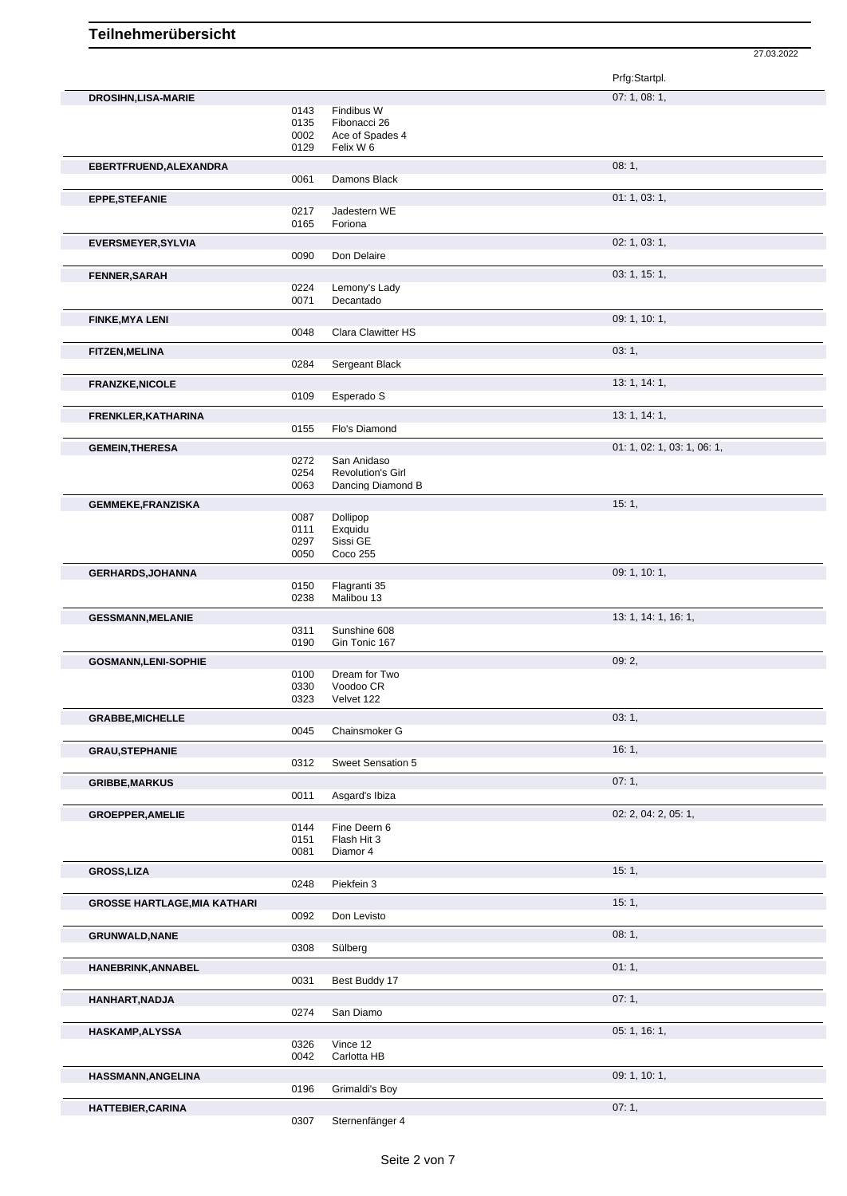|                                     |              |                                               | Prfg:Startpl.               |
|-------------------------------------|--------------|-----------------------------------------------|-----------------------------|
| <b>DROSIHN,LISA-MARIE</b>           |              |                                               | 07: 1, 08: 1,               |
|                                     | 0143         | Findibus W                                    |                             |
|                                     | 0135<br>0002 | Fibonacci 26<br>Ace of Spades 4               |                             |
|                                     | 0129         | Felix W 6                                     |                             |
| EBERTFRUEND, ALEXANDRA              |              |                                               | 08:1,                       |
|                                     | 0061         | Damons Black                                  |                             |
| <b>EPPE,STEFANIE</b>                |              |                                               | 01: 1, 03: 1,               |
|                                     | 0217         | Jadestern WE                                  |                             |
|                                     | 0165         | Foriona                                       |                             |
| <b>EVERSMEYER, SYLVIA</b>           |              |                                               | 02: 1, 03: 1,               |
|                                     | 0090         | Don Delaire                                   |                             |
| <b>FENNER, SARAH</b>                |              |                                               | 03: 1, 15: 1,               |
|                                     | 0224<br>0071 | Lemony's Lady<br>Decantado                    |                             |
| <b>FINKE, MYA LENI</b>              |              |                                               | 09: 1, 10: 1,               |
|                                     | 0048         | Clara Clawitter HS                            |                             |
| <b>FITZEN, MELINA</b>               |              |                                               | 03:1,                       |
|                                     | 0284         | Sergeant Black                                |                             |
| <b>FRANZKE, NICOLE</b>              |              |                                               | 13: 1, 14: 1,               |
|                                     | 0109         | Esperado S                                    |                             |
| FRENKLER, KATHARINA                 |              |                                               | 13: 1, 14: 1,               |
|                                     | 0155         | Flo's Diamond                                 |                             |
| <b>GEMEIN, THERESA</b>              |              |                                               | 01: 1, 02: 1, 03: 1, 06: 1, |
|                                     | 0272         | San Anidaso                                   |                             |
|                                     | 0254<br>0063 | <b>Revolution's Girl</b><br>Dancing Diamond B |                             |
|                                     |              |                                               | 15:1,                       |
| <b>GEMMEKE,FRANZISKA</b>            | 0087         | Dollipop                                      |                             |
|                                     | 0111         | Exquidu                                       |                             |
|                                     | 0297<br>0050 | Sissi GE<br>Coco 255                          |                             |
|                                     |              |                                               | 09: 1, 10: 1,               |
| <b>GERHARDS, JOHANNA</b>            | 0150         | Flagranti 35                                  |                             |
|                                     | 0238         | Malibou 13                                    |                             |
| <b>GESSMANN, MELANIE</b>            |              |                                               | 13: 1, 14: 1, 16: 1,        |
|                                     | 0311         | Sunshine 608                                  |                             |
|                                     | 0190         | Gin Tonic 167                                 |                             |
| <b>GOSMANN,LENI-SOPHIE</b>          | 0100         | Dream for Two                                 | 09:2,                       |
|                                     | 0330         | Voodoo CR                                     |                             |
|                                     | 0323         | Velvet 122                                    |                             |
| <b>GRABBE, MICHELLE</b>             |              |                                               | 03:1,                       |
|                                     | 0045         | Chainsmoker G                                 |                             |
| <b>GRAU, STEPHANIE</b>              |              |                                               | 16:1,                       |
|                                     | 0312         | Sweet Sensation 5                             |                             |
| <b>GRIBBE, MARKUS</b>               |              |                                               | 07:1,                       |
|                                     | 0011         | Asgard's Ibiza                                |                             |
| <b>GROEPPER, AMELIE</b>             | 0144         | Fine Deern 6                                  | 02: 2, 04: 2, 05: 1,        |
|                                     | 0151         | Flash Hit 3                                   |                             |
|                                     | 0081         | Diamor 4                                      |                             |
| <b>GROSS, LIZA</b>                  |              |                                               | 15:1,                       |
|                                     | 0248         | Piekfein 3                                    |                             |
| <b>GROSSE HARTLAGE, MIA KATHARI</b> |              |                                               | 15:1,                       |
|                                     | 0092         | Don Levisto                                   |                             |
| <b>GRUNWALD, NANE</b>               |              |                                               | 08:1,                       |
|                                     | 0308         | Sülberg                                       |                             |
| HANEBRINK, ANNABEL                  | 0031         | Best Buddy 17                                 | 01:1,                       |
|                                     |              |                                               |                             |
| HANHART, NADJA                      | 0274         | San Diamo                                     | 07:1,                       |
|                                     |              |                                               |                             |
| HASKAMP, ALYSSA                     | 0326         | Vince 12                                      | 05: 1, 16: 1,               |
|                                     | 0042         | Carlotta HB                                   |                             |
| HASSMANN, ANGELINA                  |              |                                               | 09: 1, 10: 1,               |
|                                     | 0196         | Grimaldi's Boy                                |                             |
| HATTEBIER, CARINA                   |              |                                               | 07:1,                       |

27.03.2022

0307 Sternenfänger 4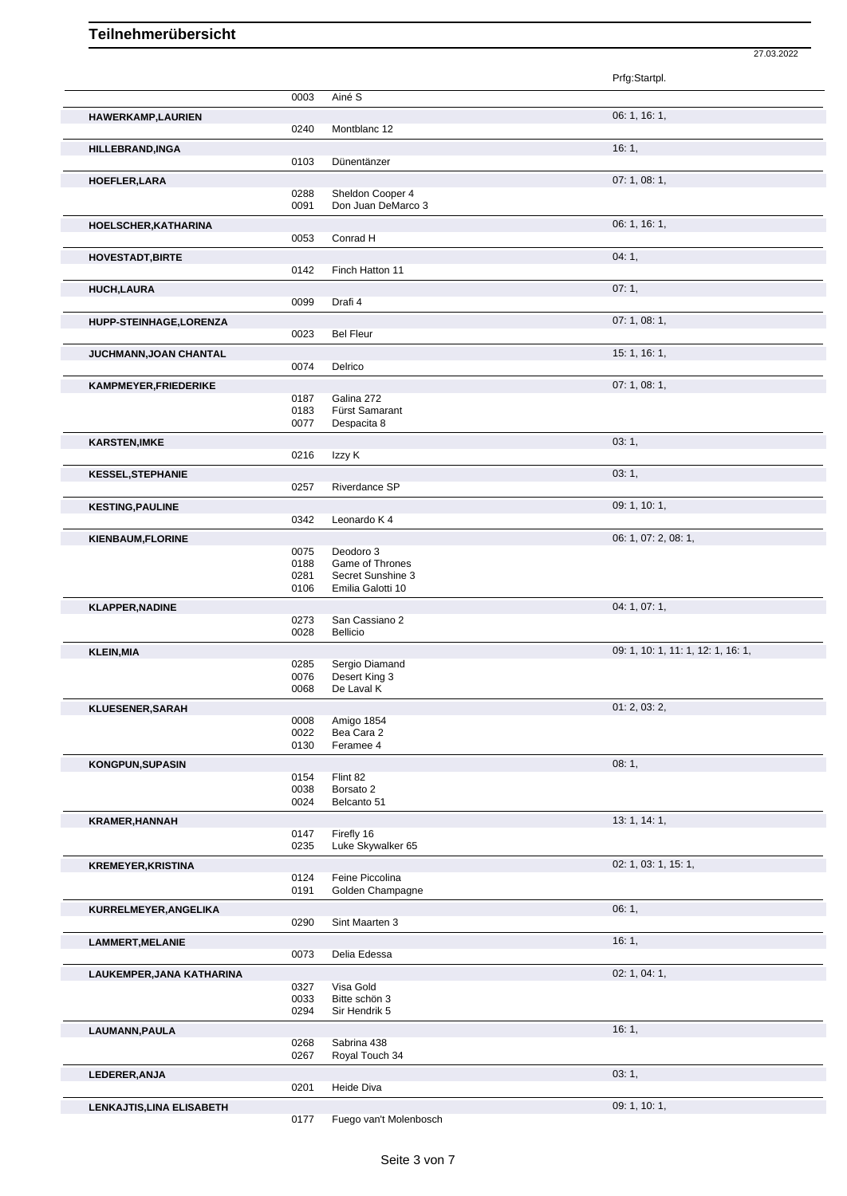|                           |              |                                        | 27.03.2022                         |  |
|---------------------------|--------------|----------------------------------------|------------------------------------|--|
|                           |              |                                        | Prfg:Startpl.                      |  |
|                           | 0003         | Ainé S                                 |                                    |  |
| <b>HAWERKAMP, LAURIEN</b> | 0240         | Montblanc 12                           | 06: 1, 16: 1,                      |  |
| HILLEBRAND, INGA          |              |                                        | 16:1,                              |  |
|                           | 0103         | Dünentänzer                            |                                    |  |
| HOEFLER, LARA             |              |                                        | 07:1,08:1,                         |  |
|                           | 0288<br>0091 | Sheldon Cooper 4<br>Don Juan DeMarco 3 |                                    |  |
| HOELSCHER, KATHARINA      |              |                                        | 06: 1, 16: 1,                      |  |
|                           | 0053         | Conrad H                               |                                    |  |
| <b>HOVESTADT, BIRTE</b>   |              |                                        | 04:1,                              |  |
|                           | 0142         | Finch Hatton 11                        |                                    |  |
| <b>HUCH,LAURA</b>         | 0099         | Drafi 4                                | 07:1,                              |  |
|                           |              |                                        | 07:1,08:1,                         |  |
| HUPP-STEINHAGE, LORENZA   | 0023         | <b>Bel Fleur</b>                       |                                    |  |
| JUCHMANN, JOAN CHANTAL    |              |                                        | 15: 1, 16: 1,                      |  |
|                           | 0074         | Delrico                                |                                    |  |
| KAMPMEYER, FRIEDERIKE     |              |                                        | 07:1,08:1,                         |  |
|                           | 0187<br>0183 | Galina 272<br>Fürst Samarant           |                                    |  |
|                           | 0077         | Despacita 8                            |                                    |  |
| <b>KARSTEN, IMKE</b>      |              |                                        | 03:1,                              |  |
|                           | 0216         | Izzy K                                 |                                    |  |
| <b>KESSEL, STEPHANIE</b>  |              |                                        | 03:1,                              |  |
|                           | 0257         | Riverdance SP                          |                                    |  |
| <b>KESTING, PAULINE</b>   | 0342         | Leonardo K 4                           | 09: 1, 10: 1,                      |  |
| <b>KIENBAUM, FLORINE</b>  |              |                                        | 06: 1, 07: 2, 08: 1,               |  |
|                           | 0075         | Deodoro 3                              |                                    |  |
|                           | 0188<br>0281 | Game of Thrones<br>Secret Sunshine 3   |                                    |  |
|                           | 0106         | Emilia Galotti 10                      |                                    |  |
| <b>KLAPPER, NADINE</b>    |              |                                        | 04: 1, 07: 1,                      |  |
|                           | 0273<br>0028 | San Cassiano 2<br><b>Bellicio</b>      |                                    |  |
| <b>KLEIN, MIA</b>         |              |                                        | 09: 1, 10: 1, 11: 1, 12: 1, 16: 1, |  |
|                           | 0285         | Sergio Diamand                         |                                    |  |
|                           | 0076<br>0068 | Desert King 3<br>De Laval K            |                                    |  |
| KLUESENER, SARAH          |              |                                        | 01: 2, 03: 2,                      |  |
|                           | 0008         | Amigo 1854                             |                                    |  |
|                           | 0022<br>0130 | Bea Cara 2<br>Feramee 4                |                                    |  |
| KONGPUN, SUPASIN          |              |                                        | 08:1,                              |  |
|                           | 0154         | Flint 82                               |                                    |  |
|                           | 0038<br>0024 | Borsato 2<br>Belcanto 51               |                                    |  |
| <b>KRAMER, HANNAH</b>     |              |                                        | 13: 1, 14: 1,                      |  |
|                           | 0147         | Firefly 16                             |                                    |  |
|                           | 0235         | Luke Skywalker 65                      |                                    |  |
| <b>KREMEYER, KRISTINA</b> |              |                                        | 02: 1, 03: 1, 15: 1,               |  |
|                           | 0124<br>0191 | Feine Piccolina<br>Golden Champagne    |                                    |  |
| KURRELMEYER, ANGELIKA     |              |                                        | 06:1,                              |  |
|                           | 0290         | Sint Maarten 3                         |                                    |  |
| <b>LAMMERT, MELANIE</b>   |              |                                        | 16:1,                              |  |
|                           | 0073         | Delia Edessa                           |                                    |  |
| LAUKEMPER, JANA KATHARINA | 0327         | Visa Gold                              | 02: 1, 04: 1,                      |  |
|                           | 0033         | Bitte schön 3                          |                                    |  |
|                           | 0294         | Sir Hendrik 5                          |                                    |  |
| LAUMANN, PAULA            |              |                                        | 16:1,                              |  |
|                           | 0268<br>0267 | Sabrina 438<br>Royal Touch 34          |                                    |  |
| LEDERER, ANJA             |              |                                        | 03:1,                              |  |
|                           | 0201         | Heide Diva                             |                                    |  |
| LENKAJTIS, LINA ELISABETH |              |                                        | 09: 1, 10: 1,                      |  |
|                           | 0177         | Fuego van't Molenbosch                 |                                    |  |

Fuego van't Molenbosch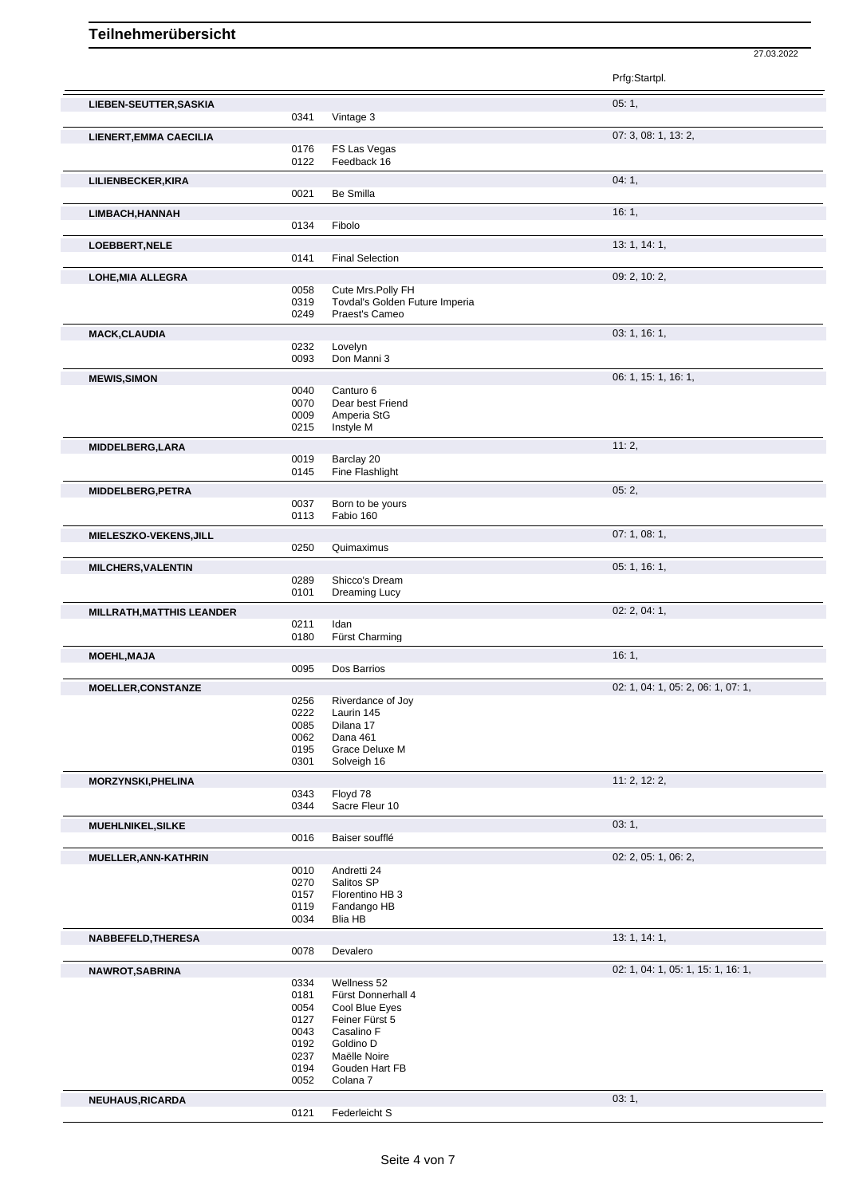|                                  |              |                                                      | Prfg:Startpl.                      |
|----------------------------------|--------------|------------------------------------------------------|------------------------------------|
| LIEBEN-SEUTTER, SASKIA           |              |                                                      | 05:1,                              |
|                                  | 0341         | Vintage 3                                            |                                    |
| <b>LIENERT, EMMA CAECILIA</b>    |              |                                                      | 07: 3, 08: 1, 13: 2,               |
|                                  | 0176         | FS Las Vegas                                         |                                    |
|                                  | 0122         | Feedback 16                                          |                                    |
| LILIENBECKER, KIRA               |              |                                                      | 04:1,                              |
|                                  | 0021         | Be Smilla                                            |                                    |
|                                  |              |                                                      | 16:1,                              |
| LIMBACH, HANNAH                  | 0134         | Fibolo                                               |                                    |
|                                  |              |                                                      |                                    |
| LOEBBERT, NELE                   |              | <b>Final Selection</b>                               | 13: 1, 14: 1,                      |
|                                  | 0141         |                                                      |                                    |
| <b>LOHE, MIA ALLEGRA</b>         |              |                                                      | 09: 2, 10: 2,                      |
|                                  | 0058<br>0319 | Cute Mrs. Polly FH<br>Tovdal's Golden Future Imperia |                                    |
|                                  | 0249         | Praest's Cameo                                       |                                    |
|                                  |              |                                                      |                                    |
| <b>MACK, CLAUDIA</b>             | 0232         | Lovelyn                                              | 03: 1, 16: 1,                      |
|                                  | 0093         | Don Manni 3                                          |                                    |
|                                  |              |                                                      |                                    |
| <b>MEWIS, SIMON</b>              |              |                                                      | 06: 1, 15: 1, 16: 1,               |
|                                  | 0040<br>0070 | Canturo 6<br>Dear best Friend                        |                                    |
|                                  | 0009         | Amperia StG                                          |                                    |
|                                  | 0215         | Instyle M                                            |                                    |
| MIDDELBERG, LARA                 |              |                                                      | 11:2,                              |
|                                  | 0019         | Barclay 20                                           |                                    |
|                                  | 0145         | Fine Flashlight                                      |                                    |
| MIDDELBERG, PETRA                |              |                                                      | 05:2,                              |
|                                  | 0037         | Born to be yours                                     |                                    |
|                                  | 0113         | Fabio 160                                            |                                    |
| MIELESZKO-VEKENS, JILL           |              |                                                      | 07: 1, 08: 1,                      |
|                                  | 0250         | Quimaximus                                           |                                    |
|                                  |              |                                                      |                                    |
| <b>MILCHERS, VALENTIN</b>        | 0289         | Shicco's Dream                                       | 05: 1, 16: 1,                      |
|                                  | 0101         | Dreaming Lucy                                        |                                    |
|                                  |              |                                                      |                                    |
| <b>MILLRATH, MATTHIS LEANDER</b> |              |                                                      | 02: 2, 04: 1,                      |
|                                  | 0211<br>0180 | Idan<br>Fürst Charming                               |                                    |
|                                  |              |                                                      |                                    |
| <b>MOEHL, MAJA</b>               |              |                                                      | 16:1,                              |
|                                  | 0095         | Dos Barrios                                          |                                    |
| <b>MOELLER, CONSTANZE</b>        |              |                                                      | 02: 1, 04: 1, 05: 2, 06: 1, 07: 1, |
|                                  | 0256         | Riverdance of Joy                                    |                                    |
|                                  | 0222<br>0085 | Laurin 145<br>Dilana 17                              |                                    |
|                                  | 0062         | Dana 461                                             |                                    |
|                                  | 0195         | Grace Deluxe M                                       |                                    |
|                                  | 0301         | Solveigh 16                                          |                                    |
| MORZYNSKI, PHELINA               |              |                                                      | 11:2, 12:2,                        |
|                                  | 0343         | Floyd 78                                             |                                    |
|                                  | 0344         | Sacre Fleur 10                                       |                                    |
| MUEHLNIKEL, SILKE                |              |                                                      | 03:1,                              |
|                                  | 0016         | Baiser soufflé                                       |                                    |
|                                  |              |                                                      |                                    |
| MUELLER, ANN-KATHRIN             | 0010         | Andretti 24                                          | 02: 2, 05: 1, 06: 2,               |
|                                  | 0270         | Salitos SP                                           |                                    |
|                                  | 0157         | Florentino HB 3                                      |                                    |
|                                  | 0119         | Fandango HB                                          |                                    |
|                                  | 0034         | <b>Blia HB</b>                                       |                                    |
| NABBEFELD, THERESA               |              |                                                      | 13: 1, 14: 1,                      |
|                                  | 0078         | Devalero                                             |                                    |
| NAWROT, SABRINA                  |              |                                                      | 02: 1, 04: 1, 05: 1, 15: 1, 16: 1, |
|                                  | 0334         | Wellness 52                                          |                                    |
|                                  | 0181         | Fürst Donnerhall 4                                   |                                    |
|                                  | 0054         | Cool Blue Eyes                                       |                                    |
|                                  | 0127         | Feiner Fürst 5                                       |                                    |
|                                  | 0043         | Casalino F                                           |                                    |
|                                  | 0192<br>0237 | Goldino D<br>Maëlle Noire                            |                                    |
|                                  | 0194         | Gouden Hart FB                                       |                                    |
|                                  | 0052         | Colana 7                                             |                                    |
| NEUHAUS, RICARDA                 |              |                                                      | 03:1,                              |
|                                  | 0121         | Federleicht S                                        |                                    |
|                                  |              |                                                      |                                    |

27.03.2022

Seite 4 von 7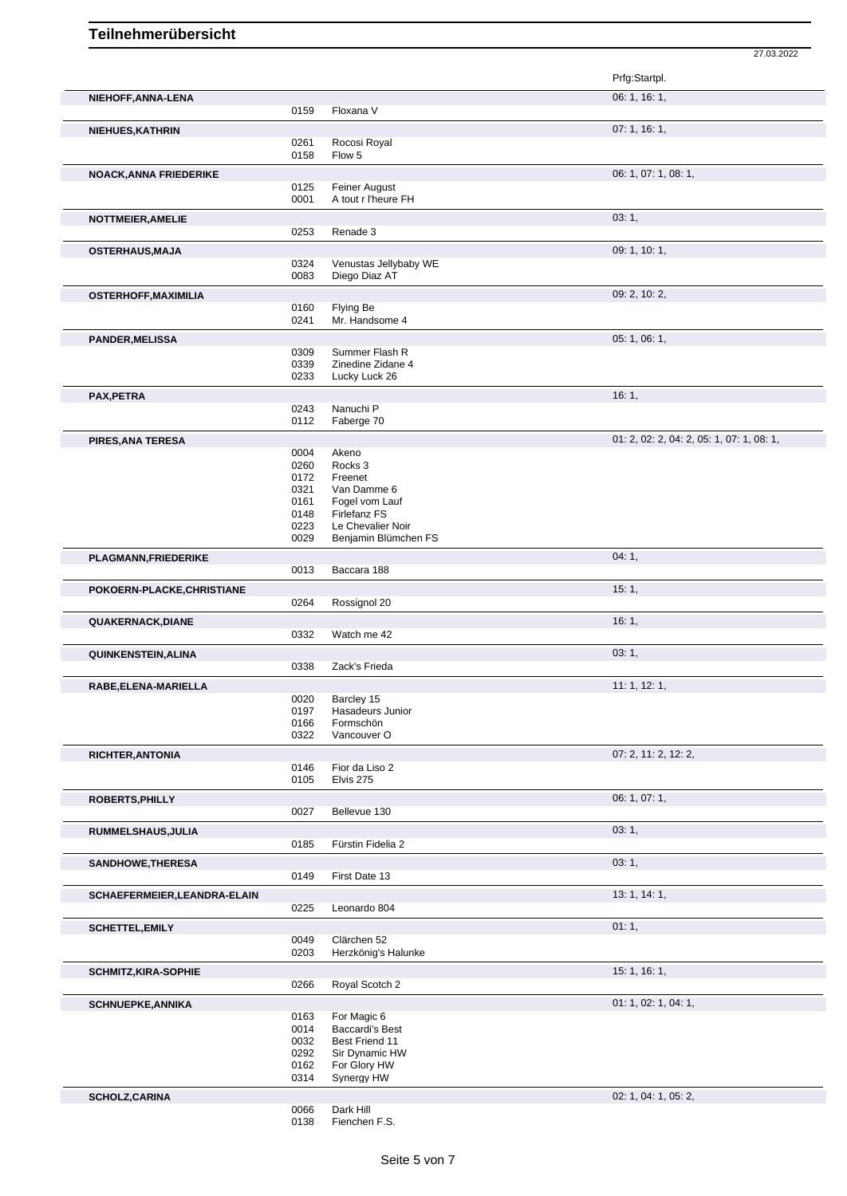|                                                                                                        |              |                                        | Prfg:Startpl.                             |
|--------------------------------------------------------------------------------------------------------|--------------|----------------------------------------|-------------------------------------------|
| NIEHOFF, ANNA-LENA                                                                                     |              |                                        | 06: 1, 16: 1,                             |
|                                                                                                        | 0159         | Floxana V                              |                                           |
| NIEHUES, KATHRIN                                                                                       |              |                                        | 07:1, 16:1,                               |
|                                                                                                        | 0261         | Rocosi Royal                           |                                           |
|                                                                                                        | 0158         | Flow 5                                 |                                           |
| <b>NOACK, ANNA FRIEDERIKE</b>                                                                          |              |                                        | 06: 1, 07: 1, 08: 1,                      |
|                                                                                                        | 0125         | Feiner August                          |                                           |
|                                                                                                        | 0001         | A tout r l'heure FH                    |                                           |
| <b>NOTTMEIER, AMELIE</b>                                                                               |              |                                        | 03:1,                                     |
|                                                                                                        | 0253         | Renade 3                               |                                           |
| OSTERHAUS, MAJA                                                                                        |              |                                        | 09: 1, 10: 1,                             |
|                                                                                                        | 0324<br>0083 | Venustas Jellybaby WE<br>Diego Diaz AT |                                           |
|                                                                                                        |              |                                        |                                           |
| <b>OSTERHOFF, MAXIMILIA</b>                                                                            | 0160         | Flying Be                              | 09: 2, 10: 2,                             |
|                                                                                                        | 0241         | Mr. Handsome 4                         |                                           |
| <b>PANDER, MELISSA</b>                                                                                 |              |                                        | 05: 1, 06: 1,                             |
|                                                                                                        | 0309         | Summer Flash R                         |                                           |
|                                                                                                        | 0339         | Zinedine Zidane 4                      |                                           |
|                                                                                                        | 0233         | Lucky Luck 26                          |                                           |
| PAX, PETRA                                                                                             |              |                                        | 16:1,                                     |
|                                                                                                        | 0243         | Nanuchi P                              |                                           |
|                                                                                                        | 0112         | Faberge 70                             |                                           |
| PIRES, ANA TERESA                                                                                      |              |                                        | 01: 2, 02: 2, 04: 2, 05: 1, 07: 1, 08: 1, |
|                                                                                                        | 0004<br>0260 | Akeno<br>Rocks 3                       |                                           |
|                                                                                                        | 0172         | Freenet                                |                                           |
|                                                                                                        | 0321         | Van Damme 6                            |                                           |
|                                                                                                        | 0161         | Fogel vom Lauf                         |                                           |
|                                                                                                        | 0148<br>0223 | Firlefanz FS<br>Le Chevalier Noir      |                                           |
|                                                                                                        | 0029         | Benjamin Blümchen FS                   |                                           |
| PLAGMANN, FRIEDERIKE                                                                                   |              |                                        | 04:1,                                     |
|                                                                                                        | 0013         | Baccara 188                            |                                           |
| POKOERN-PLACKE, CHRISTIANE                                                                             |              |                                        | 15:1,                                     |
|                                                                                                        | 0264         | Rossignol 20                           |                                           |
| <b>QUAKERNACK, DIANE</b>                                                                               |              |                                        | 16:1,                                     |
|                                                                                                        | 0332         | Watch me 42                            |                                           |
| <b>QUINKENSTEIN, ALINA</b>                                                                             |              |                                        | 03:1,                                     |
|                                                                                                        | 0338         | Zack's Frieda                          |                                           |
| RABE, ELENA-MARIELLA                                                                                   |              |                                        | 11: 1, 12: 1,                             |
|                                                                                                        | 0020         | Barcley 15                             |                                           |
|                                                                                                        | 0197         | Hasadeurs Junior                       |                                           |
|                                                                                                        |              |                                        |                                           |
|                                                                                                        | 0166         | Formschön                              |                                           |
|                                                                                                        | 0322         | Vancouver O                            |                                           |
|                                                                                                        |              |                                        | 07: 2, 11: 2, 12: 2,                      |
|                                                                                                        | 0146<br>0105 | Fior da Liso 2<br>Elvis 275            |                                           |
|                                                                                                        |              |                                        |                                           |
|                                                                                                        | 0027         | Bellevue 130                           | 06: 1, 07: 1,                             |
|                                                                                                        |              |                                        |                                           |
| RICHTER, ANTONIA<br><b>ROBERTS, PHILLY</b>                                                             | 0185         | Fürstin Fidelia 2                      | 03:1,                                     |
|                                                                                                        |              |                                        |                                           |
| SANDHOWE, THERESA                                                                                      | 0149         | First Date 13                          | 03:1,                                     |
|                                                                                                        |              |                                        |                                           |
|                                                                                                        | 0225         | Leonardo 804                           | 13: 1, 14: 1,                             |
|                                                                                                        |              |                                        |                                           |
| <b>SCHETTEL, EMILY</b>                                                                                 | 0049         | Clärchen 52                            | 01:1,                                     |
|                                                                                                        | 0203         | Herzkönig's Halunke                    |                                           |
|                                                                                                        |              |                                        | 15: 1, 16: 1,                             |
|                                                                                                        | 0266         | Royal Scotch 2                         |                                           |
|                                                                                                        |              |                                        |                                           |
|                                                                                                        | 0163         | For Magic 6                            | 01: 1, 02: 1, 04: 1,                      |
|                                                                                                        | 0014         | <b>Baccardi's Best</b>                 |                                           |
|                                                                                                        | 0032         | Best Friend 11                         |                                           |
|                                                                                                        | 0292         | Sir Dynamic HW                         |                                           |
| RUMMELSHAUS, JULIA<br>SCHAEFERMEIER, LEANDRA-ELAIN<br><b>SCHMITZ, KIRA-SOPHIE</b><br>SCHNUEPKE, ANNIKA | 0162         | For Glory HW                           |                                           |
| <b>SCHOLZ, CARINA</b>                                                                                  | 0314         | Synergy HW                             | 02: 1, 04: 1, 05: 2,                      |

27.03.2022

<sup>0066</sup> Dark Hill<br>0138 Fienchen Fienchen F.S.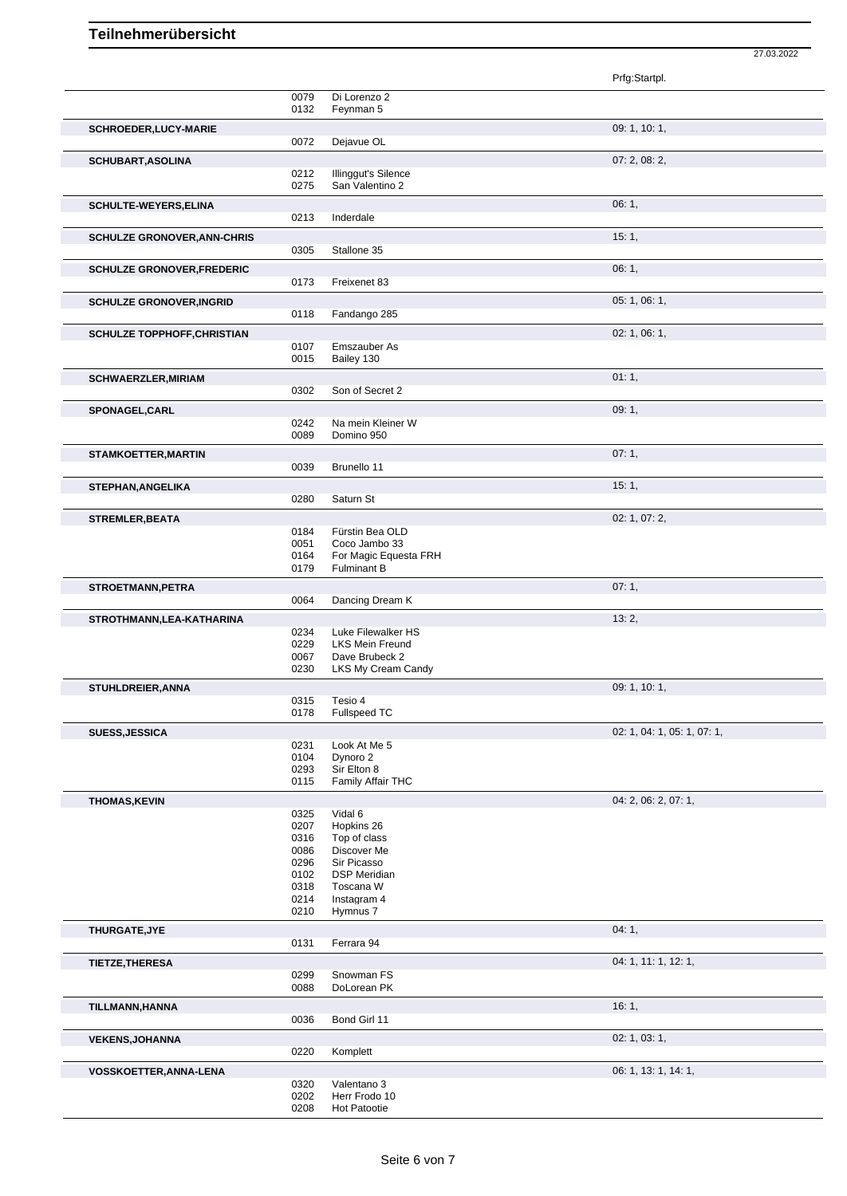|                                    |              |                                        | 27.03.2022                  |
|------------------------------------|--------------|----------------------------------------|-----------------------------|
|                                    |              |                                        | Prfg:Startpl.               |
|                                    | 0079         | Di Lorenzo 2                           |                             |
|                                    | 0132         | Feynman 5                              |                             |
| SCHROEDER, LUCY-MARIE              |              |                                        | 09: 1, 10: 1,               |
|                                    | 0072         | Dejavue OL                             |                             |
| <b>SCHUBART, ASOLINA</b>           |              |                                        | 07: 2, 08: 2,               |
|                                    | 0212<br>0275 | Illinggut's Silence<br>San Valentino 2 |                             |
| SCHULTE-WEYERS, ELINA              |              |                                        | 06:1,                       |
|                                    | 0213         | Inderdale                              |                             |
| <b>SCHULZE GRONOVER, ANN-CHRIS</b> |              |                                        | 15:1,                       |
|                                    | 0305         | Stallone 35                            |                             |
| SCHULZE GRONOVER, FREDERIC         | 0173         | Freixenet 83                           | 06:1,                       |
| <b>SCHULZE GRONOVER, INGRID</b>    |              |                                        | 05:1,06:1,                  |
|                                    | 0118         | Fandango 285                           |                             |
| <b>SCHULZE TOPPHOFF, CHRISTIAN</b> |              |                                        | 02: 1, 06: 1,               |
|                                    | 0107         | Emszauber As                           |                             |
|                                    | 0015         | Bailey 130                             |                             |
| <b>SCHWAERZLER, MIRIAM</b>         | 0302         | Son of Secret 2                        | 01:1,                       |
| SPONAGEL, CARL                     |              |                                        | 09:1,                       |
|                                    | 0242         | Na mein Kleiner W                      |                             |
|                                    | 0089         | Domino 950                             |                             |
| <b>STAMKOETTER, MARTIN</b>         | 0039         | Brunello 11                            | 07:1,                       |
|                                    |              |                                        |                             |
| STEPHAN, ANGELIKA                  | 0280         | Saturn St                              | 15:1,                       |
| <b>STREMLER, BEATA</b>             |              |                                        | 02: 1, 07: 2,               |
|                                    | 0184         | Fürstin Bea OLD                        |                             |
|                                    | 0051<br>0164 | Coco Jambo 33<br>For Magic Equesta FRH |                             |
|                                    | 0179         | <b>Fulminant B</b>                     |                             |
| STROETMANN, PETRA                  |              |                                        | 07:1,                       |
|                                    | 0064         | Dancing Dream K                        |                             |
| STROTHMANN, LEA-KATHARINA          | 0234         | Luke Filewalker HS                     | 13:2,                       |
|                                    | 0229         | <b>LKS Mein Freund</b>                 |                             |
|                                    | 0067<br>0230 | Dave Brubeck 2<br>LKS My Cream Candy   |                             |
| STUHLDREIER, ANNA                  |              |                                        | 09:1, 10:1,                 |
|                                    | 0315         | Tesio 4                                |                             |
|                                    | 0178         | Fullspeed TC                           |                             |
| <b>SUESS, JESSICA</b>              | 0231         | Look At Me 5                           | 02: 1, 04: 1, 05: 1, 07: 1, |
|                                    | 0104         | Dynoro <sub>2</sub>                    |                             |
|                                    | 0293<br>0115 | Sir Elton 8<br>Family Affair THC       |                             |
| <b>THOMAS, KEVIN</b>               |              |                                        | 04: 2, 06: 2, 07: 1,        |
|                                    | 0325         | Vidal 6                                |                             |
|                                    | 0207         | Hopkins 26                             |                             |
|                                    | 0316<br>0086 | Top of class<br>Discover Me            |                             |
|                                    | 0296         | Sir Picasso                            |                             |
|                                    | 0102         | <b>DSP Meridian</b>                    |                             |
|                                    | 0318         | Toscana W                              |                             |
|                                    | 0214         | Instagram 4                            |                             |
|                                    | 0210         | Hymnus 7                               |                             |
| THURGATE, JYE                      | 0131         | Ferrara 94                             | 04:1,                       |
| <b>TIETZE, THERESA</b>             |              |                                        | 04: 1, 11: 1, 12: 1,        |
|                                    | 0299         | Snowman FS                             |                             |
|                                    | 0088         | DoLorean PK                            |                             |
| TILLMANN, HANNA                    | 0036         | Bond Girl 11                           | 16:1,                       |
|                                    |              |                                        | 02: 1, 03: 1,               |
| <b>VEKENS, JOHANNA</b>             | 0220         | Komplett                               |                             |
| VOSSKOETTER, ANNA-LENA             |              |                                        | 06: 1, 13: 1, 14: 1,        |
|                                    | 0320         | Valentano 3                            |                             |
|                                    | 0202<br>0208 | Herr Frodo 10<br>Hot Patootie          |                             |
|                                    |              |                                        |                             |